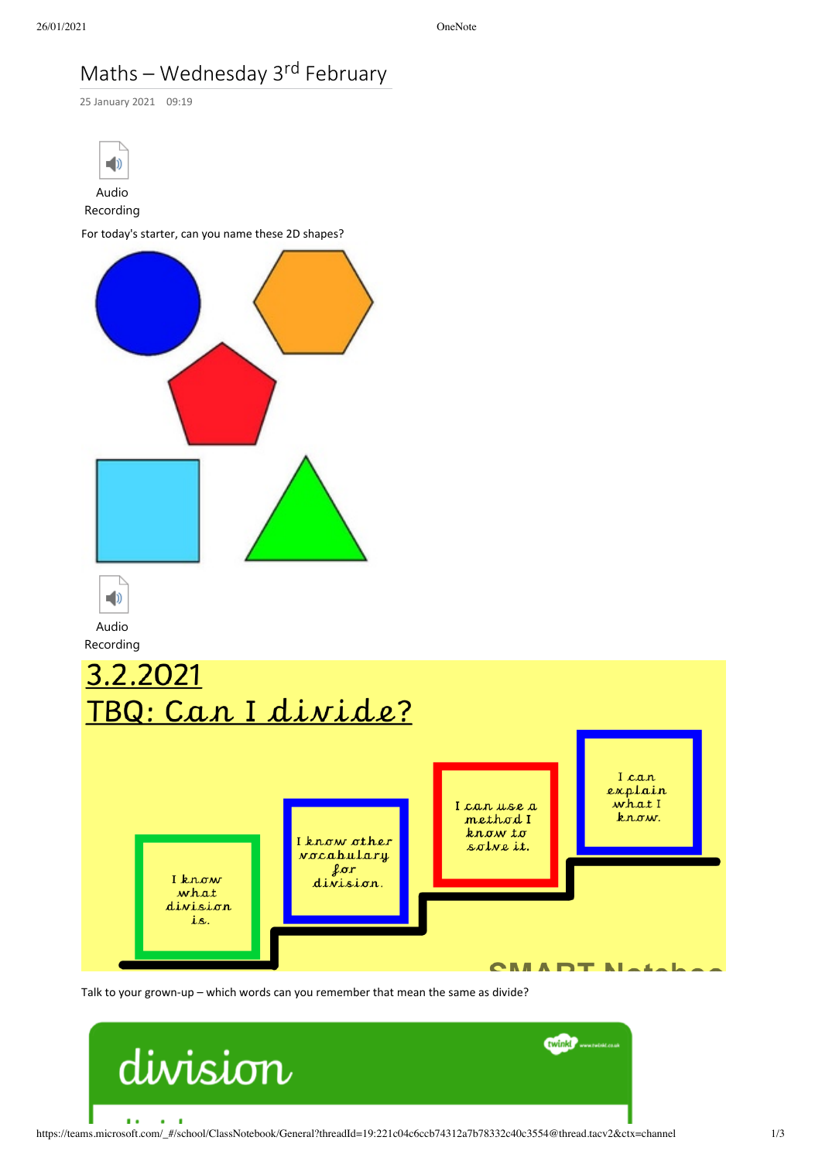## Maths – Wednesday 3<sup>rd</sup> February



Talk to your grown-up – which words can you remember that mean the same as divide?

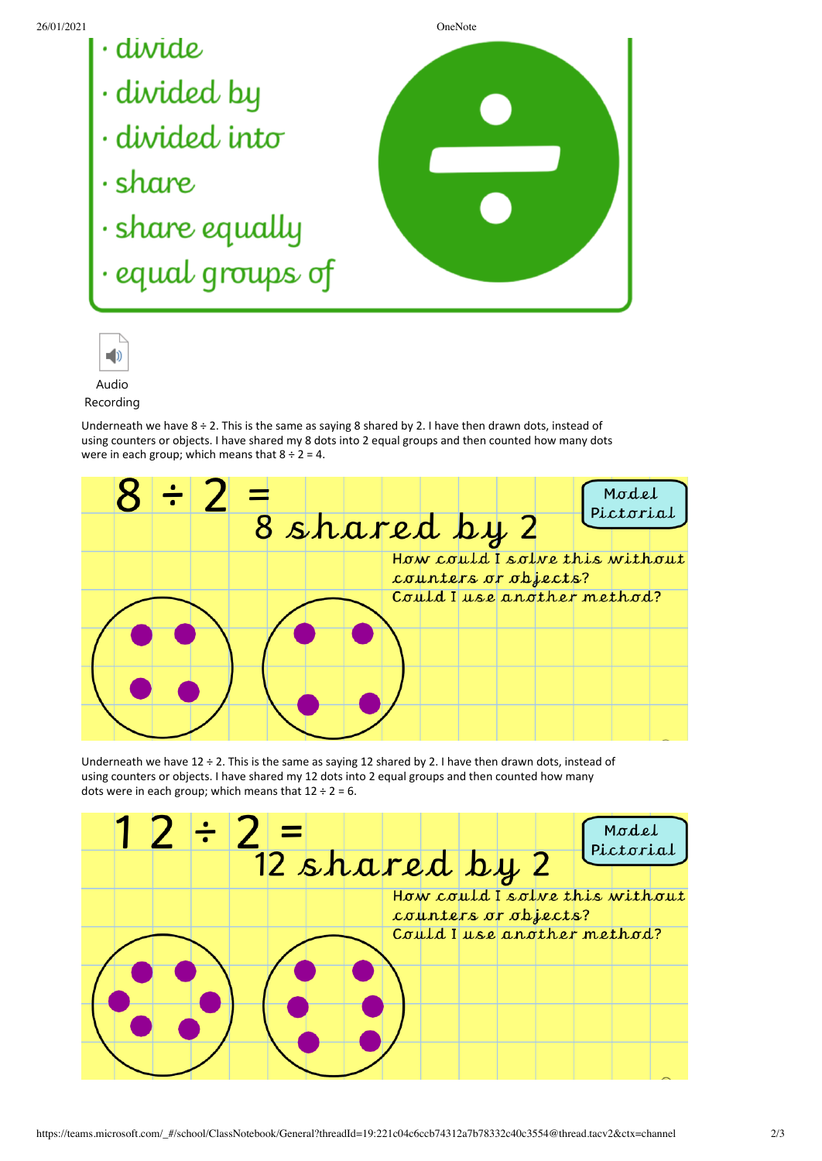- 
- 
- 
- 
- 
- · equal groups of





Recording

Underneath we have  $8 \div 2$ . This is the same as saying 8 shared by 2. I have then drawn dots, instead of using counters or objects. I have shared my 8 dots into 2 equal groups and then counted how many dots were in each group; which means that  $8 \div 2 = 4$ .



Underneath we have  $12 \div 2$ . This is the same as saying 12 shared by 2. I have then drawn dots, instead of using counters or objects. I have shared my 12 dots into 2 equal groups and then counted how many dots were in each group; which means that  $12 \div 2 = 6$ .